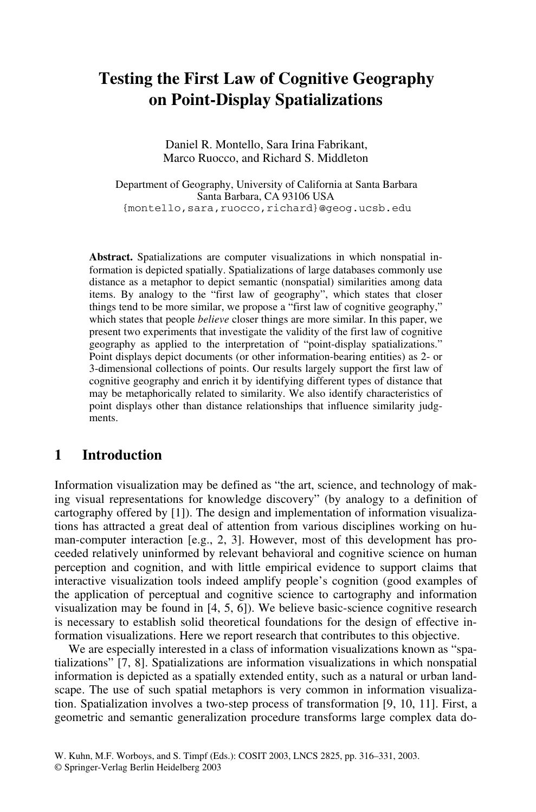# **Testing the First Law of Cognitive Geography on Point-Display Spatializations**

Daniel R. Montello, Sara Irina Fabrikant, Marco Ruocco, and Richard S. Middleton

Department of Geography, University of California at Santa Barbara Santa Barbara, CA 93106 USA {montello,sara,ruocco,richard}@geog.ucsb.edu

**Abstract.** Spatializations are computer visualizations in which nonspatial information is depicted spatially. Spatializations of large databases commonly use distance as a metaphor to depict semantic (nonspatial) similarities among data items. By analogy to the "first law of geography", which states that closer things tend to be more similar, we propose a "first law of cognitive geography," which states that people *believe* closer things are more similar. In this paper, we present two experiments that investigate the validity of the first law of cognitive geography as applied to the interpretation of "point-display spatializations." Point displays depict documents (or other information-bearing entities) as 2- or 3-dimensional collections of points. Our results largely support the first law of cognitive geography and enrich it by identifying different types of distance that may be metaphorically related to similarity. We also identify characteristics of point displays other than distance relationships that influence similarity judgments.

### **1 Introduction**

Information visualization may be defined as "the art, science, and technology of making visual representations for knowledge discovery" (by analogy to a definition of cartography offered by [1]). The design and implementation of information visualizations has attracted a great deal of attention from various disciplines working on human-computer interaction [e.g., 2, 3]. However, most of this development has proceeded relatively uninformed by relevant behavioral and cognitive science on human perception and cognition, and with little empirical evidence to support claims that interactive visualization tools indeed amplify people's cognition (good examples of the application of perceptual and cognitive science to cartography and information visualization may be found in  $[4, 5, 6]$ ). We believe basic-science cognitive research is necessary to establish solid theoretical foundations for the design of effective information visualizations. Here we report research that contributes to this objective.

We are especially interested in a class of information visualizations known as "spatializations" [7, 8]. Spatializations are information visualizations in which nonspatial information is depicted as a spatially extended entity, such as a natural or urban landscape. The use of such spatial metaphors is very common in information visualization. Spatialization involves a two-step process of transformation [9, 10, 11]. First, a geometric and semantic generalization procedure transforms large complex data do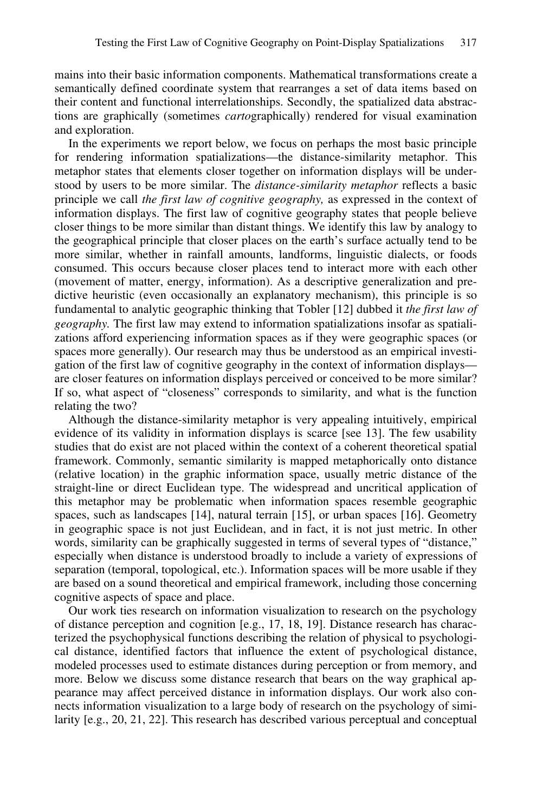mains into their basic information components. Mathematical transformations create a semantically defined coordinate system that rearranges a set of data items based on their content and functional interrelationships. Secondly, the spatialized data abstractions are graphically (sometimes *carto*graphically) rendered for visual examination and exploration.

In the experiments we report below, we focus on perhaps the most basic principle for rendering information spatializations—the distance-similarity metaphor. This metaphor states that elements closer together on information displays will be understood by users to be more similar. The *distance-similarity metaphor* reflects a basic principle we call *the first law of cognitive geography,* as expressed in the context of information displays. The first law of cognitive geography states that people believe closer things to be more similar than distant things. We identify this law by analogy to the geographical principle that closer places on the earth's surface actually tend to be more similar, whether in rainfall amounts, landforms, linguistic dialects, or foods consumed. This occurs because closer places tend to interact more with each other (movement of matter, energy, information). As a descriptive generalization and predictive heuristic (even occasionally an explanatory mechanism), this principle is so fundamental to analytic geographic thinking that Tobler [12] dubbed it *the first law of geography.* The first law may extend to information spatializations insofar as spatializations afford experiencing information spaces as if they were geographic spaces (or spaces more generally). Our research may thus be understood as an empirical investigation of the first law of cognitive geography in the context of information displays are closer features on information displays perceived or conceived to be more similar? If so, what aspect of "closeness" corresponds to similarity, and what is the function relating the two?

Although the distance-similarity metaphor is very appealing intuitively, empirical evidence of its validity in information displays is scarce [see 13]. The few usability studies that do exist are not placed within the context of a coherent theoretical spatial framework. Commonly, semantic similarity is mapped metaphorically onto distance (relative location) in the graphic information space, usually metric distance of the straight-line or direct Euclidean type. The widespread and uncritical application of this metaphor may be problematic when information spaces resemble geographic spaces, such as landscapes [14], natural terrain [15], or urban spaces [16]. Geometry in geographic space is not just Euclidean, and in fact, it is not just metric. In other words, similarity can be graphically suggested in terms of several types of "distance," especially when distance is understood broadly to include a variety of expressions of separation (temporal, topological, etc.). Information spaces will be more usable if they are based on a sound theoretical and empirical framework, including those concerning cognitive aspects of space and place.

Our work ties research on information visualization to research on the psychology of distance perception and cognition [e.g., 17, 18, 19]. Distance research has characterized the psychophysical functions describing the relation of physical to psychological distance, identified factors that influence the extent of psychological distance, modeled processes used to estimate distances during perception or from memory, and more. Below we discuss some distance research that bears on the way graphical appearance may affect perceived distance in information displays. Our work also connects information visualization to a large body of research on the psychology of similarity [e.g., 20, 21, 22]. This research has described various perceptual and conceptual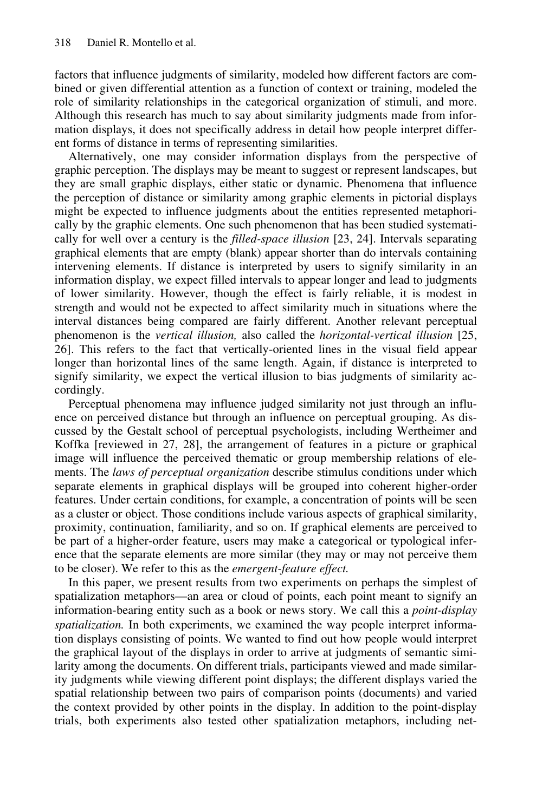factors that influence judgments of similarity, modeled how different factors are combined or given differential attention as a function of context or training, modeled the role of similarity relationships in the categorical organization of stimuli, and more. Although this research has much to say about similarity judgments made from information displays, it does not specifically address in detail how people interpret different forms of distance in terms of representing similarities.

Alternatively, one may consider information displays from the perspective of graphic perception. The displays may be meant to suggest or represent landscapes, but they are small graphic displays, either static or dynamic. Phenomena that influence the perception of distance or similarity among graphic elements in pictorial displays might be expected to influence judgments about the entities represented metaphorically by the graphic elements. One such phenomenon that has been studied systematically for well over a century is the *filled-space illusion* [23, 24]. Intervals separating graphical elements that are empty (blank) appear shorter than do intervals containing intervening elements. If distance is interpreted by users to signify similarity in an information display, we expect filled intervals to appear longer and lead to judgments of lower similarity. However, though the effect is fairly reliable, it is modest in strength and would not be expected to affect similarity much in situations where the interval distances being compared are fairly different. Another relevant perceptual phenomenon is the *vertical illusion,* also called the *horizontal-vertical illusion* [25, 26]. This refers to the fact that vertically-oriented lines in the visual field appear longer than horizontal lines of the same length. Again, if distance is interpreted to signify similarity, we expect the vertical illusion to bias judgments of similarity accordingly.

Perceptual phenomena may influence judged similarity not just through an influence on perceived distance but through an influence on perceptual grouping. As discussed by the Gestalt school of perceptual psychologists, including Wertheimer and Koffka [reviewed in 27, 28], the arrangement of features in a picture or graphical image will influence the perceived thematic or group membership relations of elements. The *laws of perceptual organization* describe stimulus conditions under which separate elements in graphical displays will be grouped into coherent higher-order features. Under certain conditions, for example, a concentration of points will be seen as a cluster or object. Those conditions include various aspects of graphical similarity, proximity, continuation, familiarity, and so on. If graphical elements are perceived to be part of a higher-order feature, users may make a categorical or typological inference that the separate elements are more similar (they may or may not perceive them to be closer). We refer to this as the *emergent-feature effect.*

In this paper, we present results from two experiments on perhaps the simplest of spatialization metaphors—an area or cloud of points, each point meant to signify an information-bearing entity such as a book or news story. We call this a *point-display spatialization.* In both experiments, we examined the way people interpret information displays consisting of points. We wanted to find out how people would interpret the graphical layout of the displays in order to arrive at judgments of semantic similarity among the documents. On different trials, participants viewed and made similarity judgments while viewing different point displays; the different displays varied the spatial relationship between two pairs of comparison points (documents) and varied the context provided by other points in the display. In addition to the point-display trials, both experiments also tested other spatialization metaphors, including net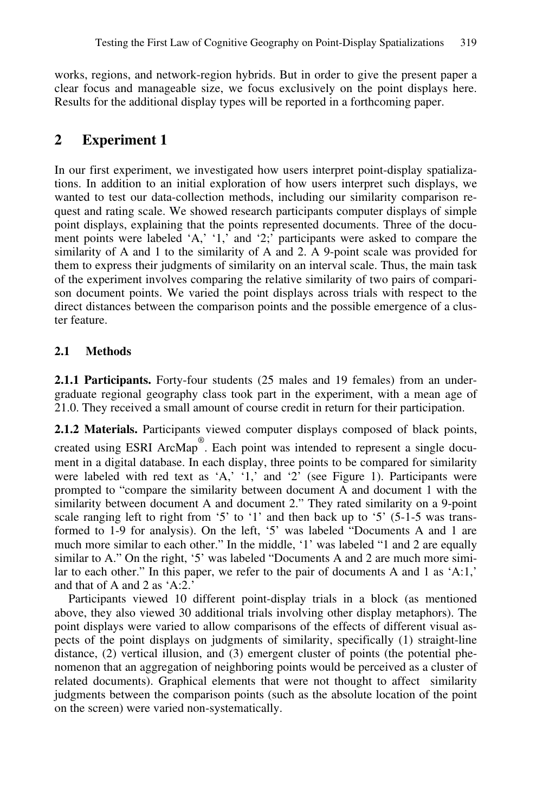works, regions, and network-region hybrids. But in order to give the present paper a clear focus and manageable size, we focus exclusively on the point displays here. Results for the additional display types will be reported in a forthcoming paper.

## **2 Experiment 1**

In our first experiment, we investigated how users interpret point-display spatializations. In addition to an initial exploration of how users interpret such displays, we wanted to test our data-collection methods, including our similarity comparison request and rating scale. We showed research participants computer displays of simple point displays, explaining that the points represented documents. Three of the document points were labeled 'A,' '1,' and '2;' participants were asked to compare the similarity of A and 1 to the similarity of A and 2. A 9-point scale was provided for them to express their judgments of similarity on an interval scale. Thus, the main task of the experiment involves comparing the relative similarity of two pairs of comparison document points. We varied the point displays across trials with respect to the direct distances between the comparison points and the possible emergence of a cluster feature.

## **2.1 Methods**

**2.1.1 Participants.** Forty-four students (25 males and 19 females) from an undergraduate regional geography class took part in the experiment, with a mean age of 21.0. They received a small amount of course credit in return for their participation.

**2.1.2 Materials.** Participants viewed computer displays composed of black points,

created using ESRI ArcMap ® . Each point was intended to represent a single document in a digital database. In each display, three points to be compared for similarity were labeled with red text as 'A,'  $\cdot$ 1,' and '2<sup>3</sup> (see Figure 1). Participants were prompted to "compare the similarity between document A and document 1 with the similarity between document A and document 2." They rated similarity on a 9-point scale ranging left to right from '5' to '1' and then back up to '5' (5-1-5 was transformed to 1-9 for analysis). On the left, '5' was labeled "Documents A and 1 are much more similar to each other." In the middle, '1' was labeled "1 and 2 are equally similar to A." On the right, '5' was labeled "Documents A and 2 are much more similar to each other." In this paper, we refer to the pair of documents A and 1 as 'A:1,' and that of A and 2 as 'A:2.'

Participants viewed 10 different point-display trials in a block (as mentioned above, they also viewed 30 additional trials involving other display metaphors). The point displays were varied to allow comparisons of the effects of different visual aspects of the point displays on judgments of similarity, specifically (1) straight-line distance, (2) vertical illusion, and (3) emergent cluster of points (the potential phenomenon that an aggregation of neighboring points would be perceived as a cluster of related documents). Graphical elements that were not thought to affect similarity judgments between the comparison points (such as the absolute location of the point on the screen) were varied non-systematically.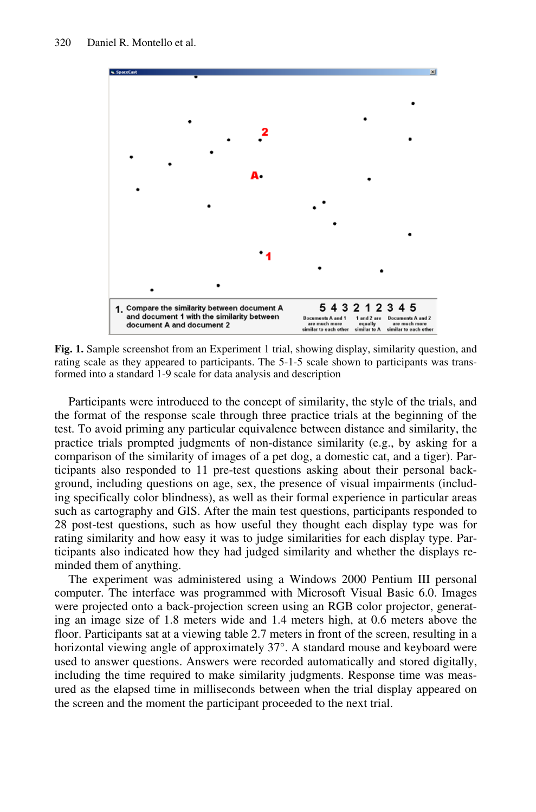

**Fig. 1.** Sample screenshot from an Experiment 1 trial, showing display, similarity question, and rating scale as they appeared to participants. The 5-1-5 scale shown to participants was transformed into a standard 1-9 scale for data analysis and description

Participants were introduced to the concept of similarity, the style of the trials, and the format of the response scale through three practice trials at the beginning of the test. To avoid priming any particular equivalence between distance and similarity, the practice trials prompted judgments of non-distance similarity (e.g., by asking for a comparison of the similarity of images of a pet dog, a domestic cat, and a tiger). Participants also responded to 11 pre-test questions asking about their personal background, including questions on age, sex, the presence of visual impairments (including specifically color blindness), as well as their formal experience in particular areas such as cartography and GIS. After the main test questions, participants responded to 28 post-test questions, such as how useful they thought each display type was for rating similarity and how easy it was to judge similarities for each display type. Participants also indicated how they had judged similarity and whether the displays reminded them of anything.

The experiment was administered using a Windows 2000 Pentium III personal computer. The interface was programmed with Microsoft Visual Basic 6.0. Images were projected onto a back-projection screen using an RGB color projector, generating an image size of 1.8 meters wide and 1.4 meters high, at 0.6 meters above the floor. Participants sat at a viewing table 2.7 meters in front of the screen, resulting in a horizontal viewing angle of approximately 37°. A standard mouse and keyboard were used to answer questions. Answers were recorded automatically and stored digitally, including the time required to make similarity judgments. Response time was measured as the elapsed time in milliseconds between when the trial display appeared on the screen and the moment the participant proceeded to the next trial.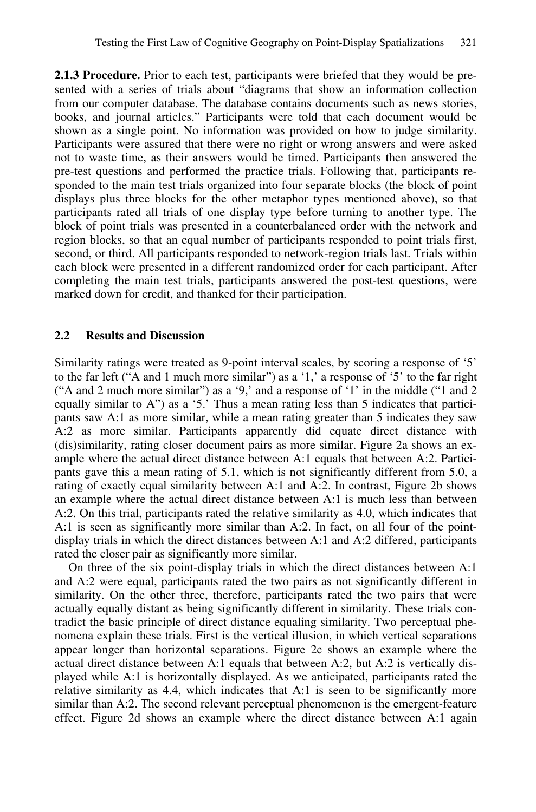**2.1.3 Procedure.** Prior to each test, participants were briefed that they would be presented with a series of trials about "diagrams that show an information collection from our computer database. The database contains documents such as news stories, books, and journal articles." Participants were told that each document would be shown as a single point. No information was provided on how to judge similarity. Participants were assured that there were no right or wrong answers and were asked not to waste time, as their answers would be timed. Participants then answered the pre-test questions and performed the practice trials. Following that, participants responded to the main test trials organized into four separate blocks (the block of point displays plus three blocks for the other metaphor types mentioned above), so that participants rated all trials of one display type before turning to another type. The block of point trials was presented in a counterbalanced order with the network and region blocks, so that an equal number of participants responded to point trials first, second, or third. All participants responded to network-region trials last. Trials within each block were presented in a different randomized order for each participant. After completing the main test trials, participants answered the post-test questions, were marked down for credit, and thanked for their participation.

#### **2.2 Results and Discussion**

Similarity ratings were treated as 9-point interval scales, by scoring a response of '5' to the far left ("A and 1 much more similar") as a '1,' a response of '5' to the far right ("A and 2 much more similar") as a '9,' and a response of '1' in the middle ("1 and 2 equally similar to A") as a '5.' Thus a mean rating less than 5 indicates that participants saw A:1 as more similar, while a mean rating greater than 5 indicates they saw A:2 as more similar. Participants apparently did equate direct distance with (dis)similarity, rating closer document pairs as more similar. Figure 2a shows an example where the actual direct distance between A:1 equals that between A:2. Participants gave this a mean rating of 5.1, which is not significantly different from 5.0, a rating of exactly equal similarity between A:1 and A:2. In contrast, Figure 2b shows an example where the actual direct distance between A:1 is much less than between A:2. On this trial, participants rated the relative similarity as 4.0, which indicates that A:1 is seen as significantly more similar than A:2. In fact, on all four of the pointdisplay trials in which the direct distances between A:1 and A:2 differed, participants rated the closer pair as significantly more similar.

On three of the six point-display trials in which the direct distances between A:1 and A:2 were equal, participants rated the two pairs as not significantly different in similarity. On the other three, therefore, participants rated the two pairs that were actually equally distant as being significantly different in similarity. These trials contradict the basic principle of direct distance equaling similarity. Two perceptual phenomena explain these trials. First is the vertical illusion, in which vertical separations appear longer than horizontal separations. Figure 2c shows an example where the actual direct distance between A:1 equals that between A:2, but A:2 is vertically displayed while A:1 is horizontally displayed. As we anticipated, participants rated the relative similarity as 4.4, which indicates that A:1 is seen to be significantly more similar than A:2. The second relevant perceptual phenomenon is the emergent-feature effect. Figure 2d shows an example where the direct distance between A:1 again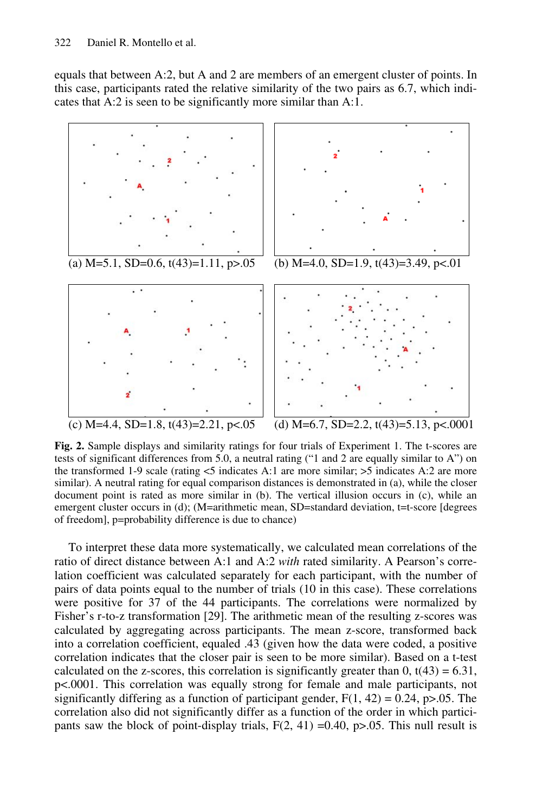equals that between A:2, but A and 2 are members of an emergent cluster of points. In this case, participants rated the relative similarity of the two pairs as 6.7, which indicates that A:2 is seen to be significantly more similar than A:1.



**Fig. 2.** Sample displays and similarity ratings for four trials of Experiment 1. The t-scores are tests of significant differences from 5.0, a neutral rating ("1 and 2 are equally similar to A") on the transformed 1-9 scale (rating <5 indicates A:1 are more similar; >5 indicates A:2 are more similar). A neutral rating for equal comparison distances is demonstrated in (a), while the closer document point is rated as more similar in (b). The vertical illusion occurs in (c), while an emergent cluster occurs in (d); (M=arithmetic mean, SD=standard deviation, t=t-score [degrees] of freedom], p=probability difference is due to chance)

To interpret these data more systematically, we calculated mean correlations of the ratio of direct distance between A:1 and A:2 *with* rated similarity. A Pearson's correlation coefficient was calculated separately for each participant, with the number of pairs of data points equal to the number of trials (10 in this case). These correlations were positive for 37 of the 44 participants. The correlations were normalized by Fisher's r-to-z transformation [29]. The arithmetic mean of the resulting z-scores was calculated by aggregating across participants. The mean z-score, transformed back into a correlation coefficient, equaled .43 (given how the data were coded, a positive correlation indicates that the closer pair is seen to be more similar). Based on a t-test calculated on the z-scores, this correlation is significantly greater than  $0, t(43) = 6.31$ , p<.0001. This correlation was equally strong for female and male participants, not significantly differing as a function of participant gender,  $F(1, 42) = 0.24$ , p>.05. The correlation also did not significantly differ as a function of the order in which participants saw the block of point-display trials,  $F(2, 41) = 0.40$ , p $> 0.05$ . This null result is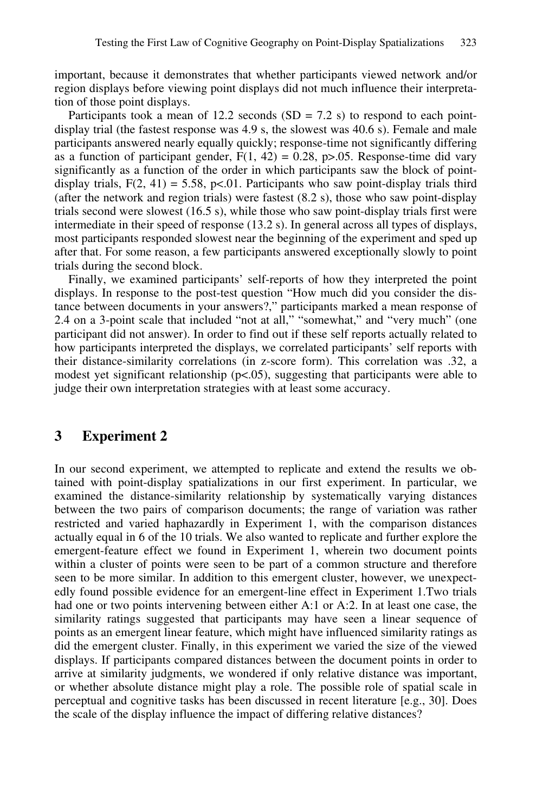important, because it demonstrates that whether participants viewed network and/or region displays before viewing point displays did not much influence their interpretation of those point displays.

Participants took a mean of 12.2 seconds  $(SD = 7.2 \text{ s})$  to respond to each pointdisplay trial (the fastest response was 4.9 s, the slowest was 40.6 s). Female and male participants answered nearly equally quickly; response-time not significantly differing as a function of participant gender,  $F(1, 42) = 0.28$ , p>.05. Response-time did vary significantly as a function of the order in which participants saw the block of pointdisplay trials,  $F(2, 41) = 5.58$ ,  $p<0.01$ . Participants who saw point-display trials third (after the network and region trials) were fastest (8.2 s), those who saw point-display trials second were slowest (16.5 s), while those who saw point-display trials first were intermediate in their speed of response (13.2 s). In general across all types of displays, most participants responded slowest near the beginning of the experiment and sped up after that. For some reason, a few participants answered exceptionally slowly to point trials during the second block.

Finally, we examined participants' self-reports of how they interpreted the point displays. In response to the post-test question "How much did you consider the distance between documents in your answers?," participants marked a mean response of 2.4 on a 3-point scale that included "not at all," "somewhat," and "very much" (one participant did not answer). In order to find out if these self reports actually related to how participants interpreted the displays, we correlated participants' self reports with their distance-similarity correlations (in z-score form). This correlation was .32, a modest yet significant relationship ( $p<0.05$ ), suggesting that participants were able to judge their own interpretation strategies with at least some accuracy.

### **3 Experiment 2**

In our second experiment, we attempted to replicate and extend the results we obtained with point-display spatializations in our first experiment. In particular, we examined the distance-similarity relationship by systematically varying distances between the two pairs of comparison documents; the range of variation was rather restricted and varied haphazardly in Experiment 1, with the comparison distances actually equal in 6 of the 10 trials. We also wanted to replicate and further explore the emergent-feature effect we found in Experiment 1, wherein two document points within a cluster of points were seen to be part of a common structure and therefore seen to be more similar. In addition to this emergent cluster, however, we unexpectedly found possible evidence for an emergent-line effect in Experiment 1.Two trials had one or two points intervening between either A:1 or A:2. In at least one case, the similarity ratings suggested that participants may have seen a linear sequence of points as an emergent linear feature, which might have influenced similarity ratings as did the emergent cluster. Finally, in this experiment we varied the size of the viewed displays. If participants compared distances between the document points in order to arrive at similarity judgments, we wondered if only relative distance was important, or whether absolute distance might play a role. The possible role of spatial scale in perceptual and cognitive tasks has been discussed in recent literature [e.g., 30]. Does the scale of the display influence the impact of differing relative distances?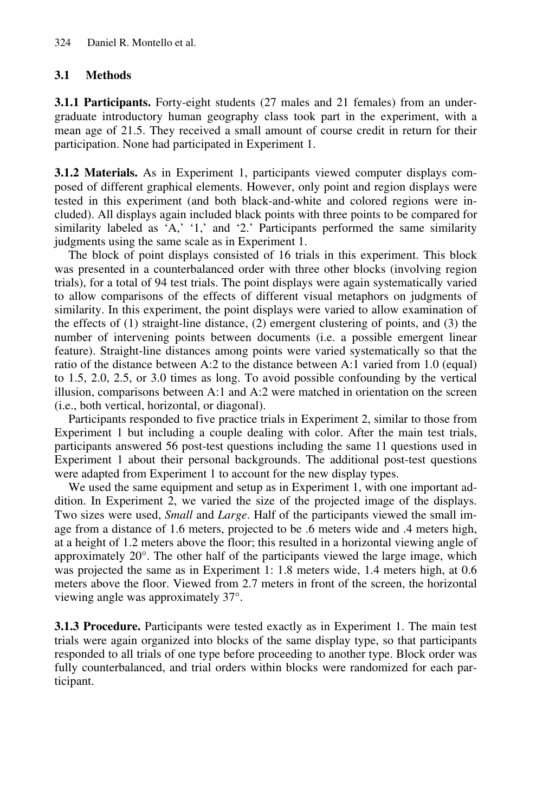### **3.1 Methods**

**3.1.1 Participants.** Forty-eight students (27 males and 21 females) from an undergraduate introductory human geography class took part in the experiment, with a mean age of 21.5. They received a small amount of course credit in return for their participation. None had participated in Experiment 1.

**3.1.2 Materials.** As in Experiment 1, participants viewed computer displays composed of different graphical elements. However, only point and region displays were tested in this experiment (and both black-and-white and colored regions were included). All displays again included black points with three points to be compared for similarity labeled as 'A,' '1,' and '2.' Participants performed the same similarity judgments using the same scale as in Experiment 1.

The block of point displays consisted of 16 trials in this experiment. This block was presented in a counterbalanced order with three other blocks (involving region trials), for a total of 94 test trials. The point displays were again systematically varied to allow comparisons of the effects of different visual metaphors on judgments of similarity. In this experiment, the point displays were varied to allow examination of the effects of (1) straight-line distance, (2) emergent clustering of points, and (3) the number of intervening points between documents (i.e. a possible emergent linear feature). Straight-line distances among points were varied systematically so that the ratio of the distance between A:2 to the distance between A:1 varied from 1.0 (equal) to 1.5, 2.0, 2.5, or 3.0 times as long. To avoid possible confounding by the vertical illusion, comparisons between A:1 and A:2 were matched in orientation on the screen (i.e., both vertical, horizontal, or diagonal).

Participants responded to five practice trials in Experiment 2, similar to those from Experiment 1 but including a couple dealing with color. After the main test trials, participants answered 56 post-test questions including the same 11 questions used in Experiment 1 about their personal backgrounds. The additional post-test questions were adapted from Experiment 1 to account for the new display types.

We used the same equipment and setup as in Experiment 1, with one important addition. In Experiment 2, we varied the size of the projected image of the displays. Two sizes were used, *Small* and *Large*. Half of the participants viewed the small image from a distance of 1.6 meters, projected to be .6 meters wide and .4 meters high, at a height of 1.2 meters above the floor; this resulted in a horizontal viewing angle of approximately 20°. The other half of the participants viewed the large image, which was projected the same as in Experiment 1: 1.8 meters wide, 1.4 meters high, at 0.6 meters above the floor. Viewed from 2.7 meters in front of the screen, the horizontal viewing angle was approximately 37°.

**3.1.3 Procedure.** Participants were tested exactly as in Experiment 1. The main test trials were again organized into blocks of the same display type, so that participants responded to all trials of one type before proceeding to another type. Block order was fully counterbalanced, and trial orders within blocks were randomized for each participant.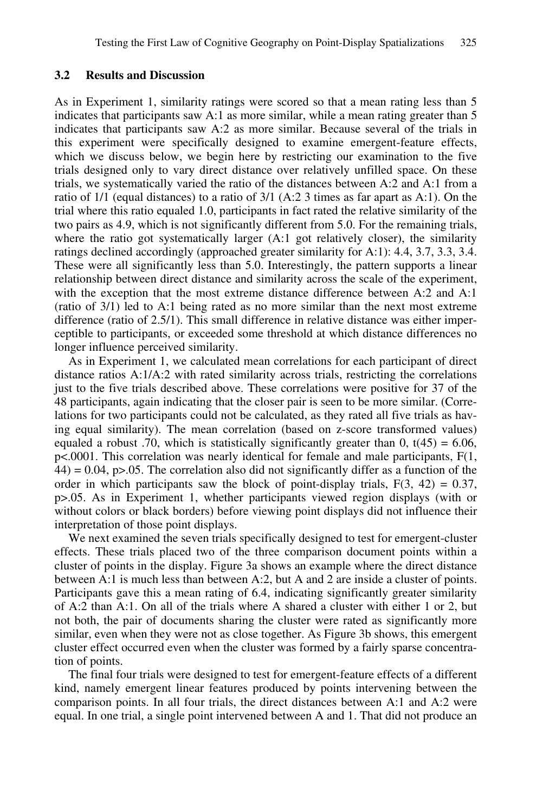#### **3.2 Results and Discussion**

As in Experiment 1, similarity ratings were scored so that a mean rating less than 5 indicates that participants saw A:1 as more similar, while a mean rating greater than 5 indicates that participants saw A:2 as more similar. Because several of the trials in this experiment were specifically designed to examine emergent-feature effects, which we discuss below, we begin here by restricting our examination to the five trials designed only to vary direct distance over relatively unfilled space. On these trials, we systematically varied the ratio of the distances between A:2 and A:1 from a ratio of 1/1 (equal distances) to a ratio of 3/1 (A:2 3 times as far apart as A:1). On the trial where this ratio equaled 1.0, participants in fact rated the relative similarity of the two pairs as 4.9, which is not significantly different from 5.0. For the remaining trials, where the ratio got systematically larger (A:1 got relatively closer), the similarity ratings declined accordingly (approached greater similarity for A:1): 4.4, 3.7, 3.3, 3.4. These were all significantly less than 5.0. Interestingly, the pattern supports a linear relationship between direct distance and similarity across the scale of the experiment, with the exception that the most extreme distance difference between A:2 and A:1 (ratio of 3/1) led to A:1 being rated as no more similar than the next most extreme difference (ratio of 2.5/1). This small difference in relative distance was either imperceptible to participants, or exceeded some threshold at which distance differences no longer influence perceived similarity.

As in Experiment 1, we calculated mean correlations for each participant of direct distance ratios A:1/A:2 with rated similarity across trials, restricting the correlations just to the five trials described above. These correlations were positive for 37 of the 48 participants, again indicating that the closer pair is seen to be more similar. (Correlations for two participants could not be calculated, as they rated all five trials as having equal similarity). The mean correlation (based on z-score transformed values) equaled a robust .70, which is statistically significantly greater than 0,  $t(45) = 6.06$ ,  $p<.0001$ . This correlation was nearly identical for female and male participants,  $F(1, 1)$  $44$ ) = 0.04, p>.05. The correlation also did not significantly differ as a function of the order in which participants saw the block of point-display trials,  $F(3, 42) = 0.37$ , p>.05. As in Experiment 1, whether participants viewed region displays (with or without colors or black borders) before viewing point displays did not influence their interpretation of those point displays.

We next examined the seven trials specifically designed to test for emergent-cluster effects. These trials placed two of the three comparison document points within a cluster of points in the display. Figure 3a shows an example where the direct distance between A:1 is much less than between A:2, but A and 2 are inside a cluster of points. Participants gave this a mean rating of 6.4, indicating significantly greater similarity of A:2 than A:1. On all of the trials where A shared a cluster with either 1 or 2, but not both, the pair of documents sharing the cluster were rated as significantly more similar, even when they were not as close together. As Figure 3b shows, this emergent cluster effect occurred even when the cluster was formed by a fairly sparse concentration of points.

The final four trials were designed to test for emergent-feature effects of a different kind, namely emergent linear features produced by points intervening between the comparison points. In all four trials, the direct distances between A:1 and A:2 were equal. In one trial, a single point intervened between A and 1. That did not produce an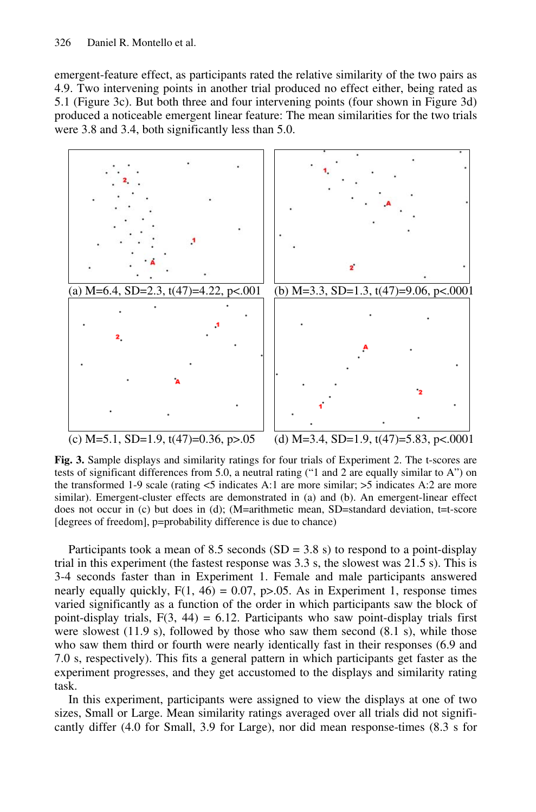emergent-feature effect, as participants rated the relative similarity of the two pairs as 4.9. Two intervening points in another trial produced no effect either, being rated as 5.1 (Figure 3c). But both three and four intervening points (four shown in Figure 3d) produced a noticeable emergent linear feature: The mean similarities for the two trials were 3.8 and 3.4, both significantly less than 5.0.



**Fig. 3.** Sample displays and similarity ratings for four trials of Experiment 2. The t-scores are tests of significant differences from 5.0, a neutral rating ("1 and 2 are equally similar to A") on the transformed 1-9 scale (rating <5 indicates A:1 are more similar; >5 indicates A:2 are more similar). Emergent-cluster effects are demonstrated in (a) and (b). An emergent-linear effect does not occur in (c) but does in (d); (M=arithmetic mean, SD=standard deviation, t=t-score [degrees of freedom], p=probability difference is due to chance)

Participants took a mean of 8.5 seconds  $(SD = 3.8 \text{ s})$  to respond to a point-display trial in this experiment (the fastest response was 3.3 s, the slowest was 21.5 s). This is 3-4 seconds faster than in Experiment 1. Female and male participants answered nearly equally quickly,  $F(1, 46) = 0.07$ , p>.05. As in Experiment 1, response times varied significantly as a function of the order in which participants saw the block of point-display trials,  $F(3, 44) = 6.12$ . Participants who saw point-display trials first were slowest (11.9 s), followed by those who saw them second (8.1 s), while those who saw them third or fourth were nearly identically fast in their responses (6.9 and 7.0 s, respectively). This fits a general pattern in which participants get faster as the experiment progresses, and they get accustomed to the displays and similarity rating task.

In this experiment, participants were assigned to view the displays at one of two sizes, Small or Large. Mean similarity ratings averaged over all trials did not significantly differ (4.0 for Small, 3.9 for Large), nor did mean response-times (8.3 s for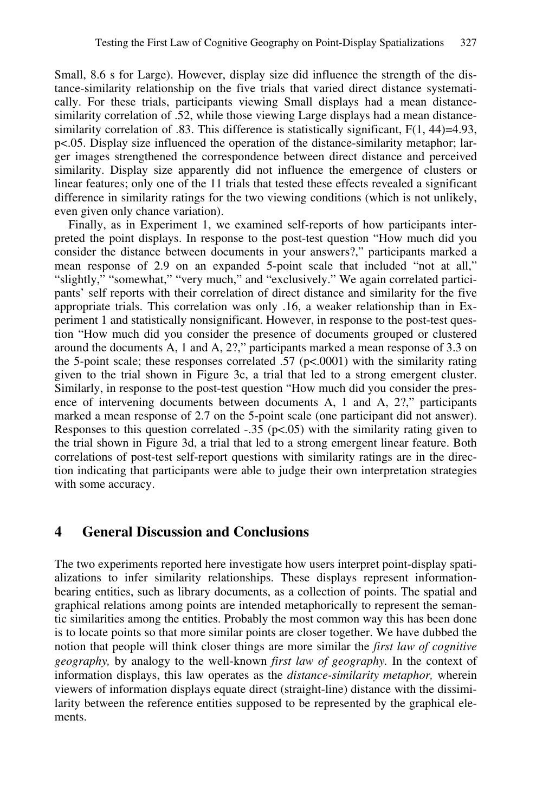Small, 8.6 s for Large). However, display size did influence the strength of the distance-similarity relationship on the five trials that varied direct distance systematically. For these trials, participants viewing Small displays had a mean distancesimilarity correlation of .52, while those viewing Large displays had a mean distancesimilarity correlation of .83. This difference is statistically significant,  $F(1, 44)=4.93$ , p<.05. Display size influenced the operation of the distance-similarity metaphor; larger images strengthened the correspondence between direct distance and perceived similarity. Display size apparently did not influence the emergence of clusters or linear features; only one of the 11 trials that tested these effects revealed a significant difference in similarity ratings for the two viewing conditions (which is not unlikely, even given only chance variation).

Finally, as in Experiment 1, we examined self-reports of how participants interpreted the point displays. In response to the post-test question "How much did you consider the distance between documents in your answers?," participants marked a mean response of 2.9 on an expanded 5-point scale that included "not at all," "slightly," "somewhat," "very much," and "exclusively." We again correlated participants' self reports with their correlation of direct distance and similarity for the five appropriate trials. This correlation was only .16, a weaker relationship than in Experiment 1 and statistically nonsignificant. However, in response to the post-test question "How much did you consider the presence of documents grouped or clustered around the documents A, 1 and A, 2?," participants marked a mean response of 3.3 on the 5-point scale; these responses correlated .57 ( $p<.0001$ ) with the similarity rating given to the trial shown in Figure 3c, a trial that led to a strong emergent cluster. Similarly, in response to the post-test question "How much did you consider the presence of intervening documents between documents A, 1 and A, 2?," participants marked a mean response of 2.7 on the 5-point scale (one participant did not answer). Responses to this question correlated -.35 (p<.05) with the similarity rating given to the trial shown in Figure 3d, a trial that led to a strong emergent linear feature. Both correlations of post-test self-report questions with similarity ratings are in the direction indicating that participants were able to judge their own interpretation strategies with some accuracy.

#### **4 General Discussion and Conclusions**

The two experiments reported here investigate how users interpret point-display spatializations to infer similarity relationships. These displays represent informationbearing entities, such as library documents, as a collection of points. The spatial and graphical relations among points are intended metaphorically to represent the semantic similarities among the entities. Probably the most common way this has been done is to locate points so that more similar points are closer together. We have dubbed the notion that people will think closer things are more similar the *first law of cognitive geography,* by analogy to the well-known *first law of geography.* In the context of information displays, this law operates as the *distance-similarity metaphor,* wherein viewers of information displays equate direct (straight-line) distance with the dissimilarity between the reference entities supposed to be represented by the graphical elements.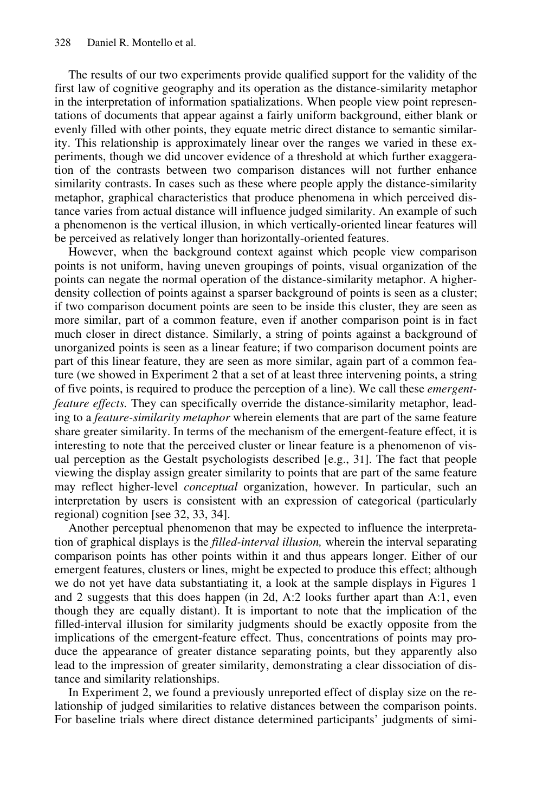The results of our two experiments provide qualified support for the validity of the first law of cognitive geography and its operation as the distance-similarity metaphor in the interpretation of information spatializations. When people view point representations of documents that appear against a fairly uniform background, either blank or evenly filled with other points, they equate metric direct distance to semantic similarity. This relationship is approximately linear over the ranges we varied in these experiments, though we did uncover evidence of a threshold at which further exaggeration of the contrasts between two comparison distances will not further enhance similarity contrasts. In cases such as these where people apply the distance-similarity metaphor, graphical characteristics that produce phenomena in which perceived distance varies from actual distance will influence judged similarity. An example of such a phenomenon is the vertical illusion, in which vertically-oriented linear features will be perceived as relatively longer than horizontally-oriented features.

However, when the background context against which people view comparison points is not uniform, having uneven groupings of points, visual organization of the points can negate the normal operation of the distance-similarity metaphor. A higherdensity collection of points against a sparser background of points is seen as a cluster; if two comparison document points are seen to be inside this cluster, they are seen as more similar, part of a common feature, even if another comparison point is in fact much closer in direct distance. Similarly, a string of points against a background of unorganized points is seen as a linear feature; if two comparison document points are part of this linear feature, they are seen as more similar, again part of a common feature (we showed in Experiment 2 that a set of at least three intervening points, a string of five points, is required to produce the perception of a line). We call these *emergentfeature effects.* They can specifically override the distance-similarity metaphor, leading to a *feature-similarity metaphor* wherein elements that are part of the same feature share greater similarity. In terms of the mechanism of the emergent-feature effect, it is interesting to note that the perceived cluster or linear feature is a phenomenon of visual perception as the Gestalt psychologists described [e.g., 31]. The fact that people viewing the display assign greater similarity to points that are part of the same feature may reflect higher-level *conceptual* organization, however. In particular, such an interpretation by users is consistent with an expression of categorical (particularly regional) cognition [see 32, 33, 34].

Another perceptual phenomenon that may be expected to influence the interpretation of graphical displays is the *filled-interval illusion,* wherein the interval separating comparison points has other points within it and thus appears longer. Either of our emergent features, clusters or lines, might be expected to produce this effect; although we do not yet have data substantiating it, a look at the sample displays in Figures 1 and 2 suggests that this does happen (in 2d, A:2 looks further apart than A:1, even though they are equally distant). It is important to note that the implication of the filled-interval illusion for similarity judgments should be exactly opposite from the implications of the emergent-feature effect. Thus, concentrations of points may produce the appearance of greater distance separating points, but they apparently also lead to the impression of greater similarity, demonstrating a clear dissociation of distance and similarity relationships.

In Experiment 2, we found a previously unreported effect of display size on the relationship of judged similarities to relative distances between the comparison points. For baseline trials where direct distance determined participants' judgments of simi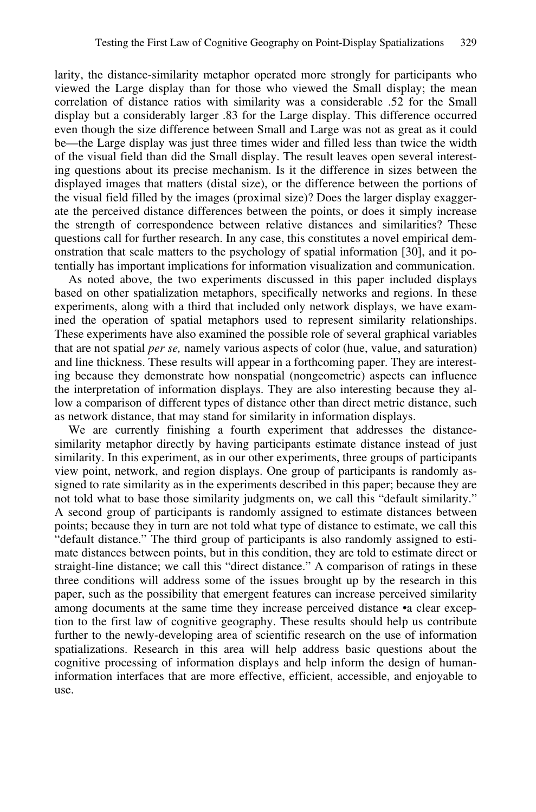larity, the distance-similarity metaphor operated more strongly for participants who viewed the Large display than for those who viewed the Small display; the mean correlation of distance ratios with similarity was a considerable .52 for the Small display but a considerably larger .83 for the Large display. This difference occurred even though the size difference between Small and Large was not as great as it could be—the Large display was just three times wider and filled less than twice the width of the visual field than did the Small display. The result leaves open several interesting questions about its precise mechanism. Is it the difference in sizes between the displayed images that matters (distal size), or the difference between the portions of the visual field filled by the images (proximal size)? Does the larger display exaggerate the perceived distance differences between the points, or does it simply increase the strength of correspondence between relative distances and similarities? These questions call for further research. In any case, this constitutes a novel empirical demonstration that scale matters to the psychology of spatial information [30], and it potentially has important implications for information visualization and communication.

As noted above, the two experiments discussed in this paper included displays based on other spatialization metaphors, specifically networks and regions. In these experiments, along with a third that included only network displays, we have examined the operation of spatial metaphors used to represent similarity relationships. These experiments have also examined the possible role of several graphical variables that are not spatial *per se,* namely various aspects of color (hue, value, and saturation) and line thickness. These results will appear in a forthcoming paper. They are interesting because they demonstrate how nonspatial (nongeometric) aspects can influence the interpretation of information displays. They are also interesting because they allow a comparison of different types of distance other than direct metric distance, such as network distance, that may stand for similarity in information displays.

We are currently finishing a fourth experiment that addresses the distancesimilarity metaphor directly by having participants estimate distance instead of just similarity. In this experiment, as in our other experiments, three groups of participants view point, network, and region displays. One group of participants is randomly assigned to rate similarity as in the experiments described in this paper; because they are not told what to base those similarity judgments on, we call this "default similarity." A second group of participants is randomly assigned to estimate distances between points; because they in turn are not told what type of distance to estimate, we call this "default distance." The third group of participants is also randomly assigned to estimate distances between points, but in this condition, they are told to estimate direct or straight-line distance; we call this "direct distance." A comparison of ratings in these three conditions will address some of the issues brought up by the research in this paper, such as the possibility that emergent features can increase perceived similarity among documents at the same time they increase perceived distance •a clear exception to the first law of cognitive geography. These results should help us contribute further to the newly-developing area of scientific research on the use of information spatializations. Research in this area will help address basic questions about the cognitive processing of information displays and help inform the design of humaninformation interfaces that are more effective, efficient, accessible, and enjoyable to use.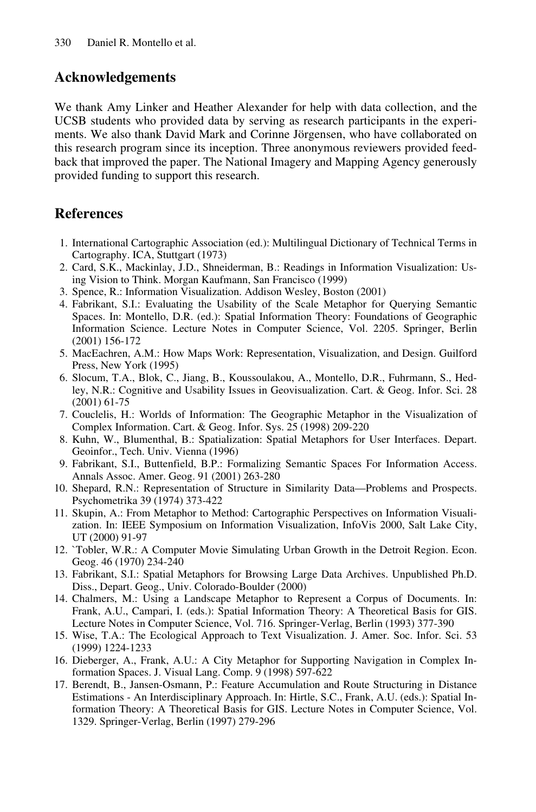## **Acknowledgements**

We thank Amy Linker and Heather Alexander for help with data collection, and the UCSB students who provided data by serving as research participants in the experiments. We also thank David Mark and Corinne Jörgensen, who have collaborated on this research program since its inception. Three anonymous reviewers provided feedback that improved the paper. The National Imagery and Mapping Agency generously provided funding to support this research.

# **References**

- 1. International Cartographic Association (ed.): Multilingual Dictionary of Technical Terms in Cartography. ICA, Stuttgart (1973)
- 2. Card, S.K., Mackinlay, J.D., Shneiderman, B.: Readings in Information Visualization: Using Vision to Think. Morgan Kaufmann, San Francisco (1999)
- 3. Spence, R.: Information Visualization. Addison Wesley, Boston (2001)
- 4. Fabrikant, S.I.: Evaluating the Usability of the Scale Metaphor for Querying Semantic Spaces. In: Montello, D.R. (ed.): Spatial Information Theory: Foundations of Geographic Information Science. Lecture Notes in Computer Science, Vol. 2205. Springer, Berlin (2001) 156-172
- 5. MacEachren, A.M.: How Maps Work: Representation, Visualization, and Design. Guilford Press, New York (1995)
- 6. Slocum, T.A., Blok, C., Jiang, B., Koussoulakou, A., Montello, D.R., Fuhrmann, S., Hedley, N.R.: Cognitive and Usability Issues in Geovisualization. Cart. & Geog. Infor. Sci. 28 (2001) 61-75
- 7. Couclelis, H.: Worlds of Information: The Geographic Metaphor in the Visualization of Complex Information. Cart. & Geog. Infor. Sys. 25 (1998) 209-220
- 8. Kuhn, W., Blumenthal, B.: Spatialization: Spatial Metaphors for User Interfaces. Depart. Geoinfor., Tech. Univ. Vienna (1996)
- 9. Fabrikant, S.I., Buttenfield, B.P.: Formalizing Semantic Spaces For Information Access. Annals Assoc. Amer. Geog. 91 (2001) 263-280
- 10. Shepard, R.N.: Representation of Structure in Similarity Data—Problems and Prospects. Psychometrika 39 (1974) 373-422
- 11. Skupin, A.: From Metaphor to Method: Cartographic Perspectives on Information Visualization. In: IEEE Symposium on Information Visualization, InfoVis 2000, Salt Lake City, UT (2000) 91-97
- 12. `Tobler, W.R.: A Computer Movie Simulating Urban Growth in the Detroit Region. Econ. Geog. 46 (1970) 234-240
- 13. Fabrikant, S.I.: Spatial Metaphors for Browsing Large Data Archives. Unpublished Ph.D. Diss., Depart. Geog., Univ. Colorado-Boulder (2000)
- 14. Chalmers, M.: Using a Landscape Metaphor to Represent a Corpus of Documents. In: Frank, A.U., Campari, I. (eds.): Spatial Information Theory: A Theoretical Basis for GIS. Lecture Notes in Computer Science, Vol. 716. Springer-Verlag, Berlin (1993) 377-390
- 15. Wise, T.A.: The Ecological Approach to Text Visualization. J. Amer. Soc. Infor. Sci. 53 (1999) 1224-1233
- 16. Dieberger, A., Frank, A.U.: A City Metaphor for Supporting Navigation in Complex Information Spaces. J. Visual Lang. Comp. 9 (1998) 597-622
- 17. Berendt, B., Jansen-Osmann, P.: Feature Accumulation and Route Structuring in Distance Estimations - An Interdisciplinary Approach. In: Hirtle, S.C., Frank, A.U. (eds.): Spatial Information Theory: A Theoretical Basis for GIS. Lecture Notes in Computer Science, Vol. 1329. Springer-Verlag, Berlin (1997) 279-296